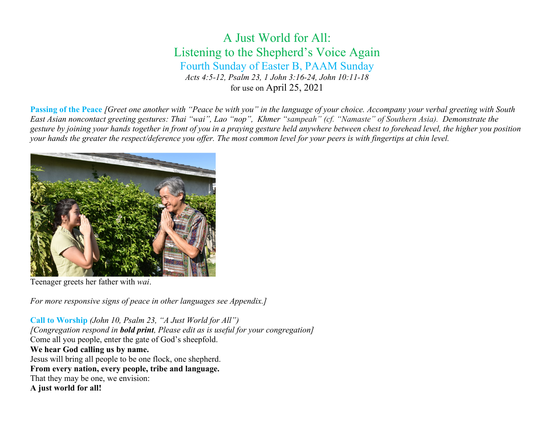# A Just World for All: Listening to the Shepherd's Voice Again Fourth Sunday of Easter B, PAAM Sunday *Acts 4:5-12, Psalm 23, 1 John 3:16-24, John 10:11-18* for use on April 25, 2021

**Passing of the Peace** *[Greet one another with "Peace be with you" in the language of your choice. Accompany your verbal greeting with South East Asian noncontact greeting gestures: Thai "wai", Lao "nop", Khmer "sampeah" (cf. "Namaste" of Southern Asia). Demonstrate the gesture by joining your hands together in front of you in a praying gesture held anywhere between chest to forehead level, the higher you position your hands the greater the respect/deference you offer. The most common level for your peers is with fingertips at chin level.* 



Teenager greets her father with *wai*.

*For more responsive signs of peace in other languages see Appendix.]*

**Call to Worship** *(John 10, Psalm 23, "A Just World for All") [Congregation respond in bold print, Please edit as is useful for your congregation]* Come all you people, enter the gate of God's sheepfold. **We hear God calling us by name.** Jesus will bring all people to be one flock, one shepherd. **From every nation, every people, tribe and language.** That they may be one, we envision: **A just world for all!**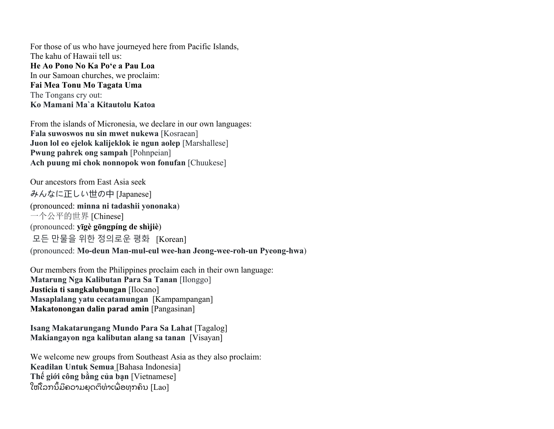For those of us who have journeyed here from Pacific Islands, The kahu of Hawaii tell us: **He Ao Pono No Ka Poʻe a Pau Loa**  In our Samoan churches, we proclaim: **Fai Mea Tonu Mo Tagata Uma** The Tongans cry out: **Ko Mamani Ma`a Kitautolu Katoa**

From the islands of Micronesia, we declare in our own languages: **Fala suwoswos nu sin mwet nukewa** [Kosraean] **Juon lol eo ejelok kalijeklok ie ngun aolep** [Marshallese] **Pwung pahrek ong sampah** [Pohnpeian] **Ach puung mi chok nonnopok won fonufan** [Chuukese]

Our ancestors from East Asia seek みんなに正しい世の中 [Japanese] (pronounced: **minna ni tadashii yononaka**) 一个公平的世界 [Chinese] (pronounced: **yīgè gōngpíng de shìjiè**) 모든 만물을 위한 정의로운 평화 [Korean] (pronounced: **Mo-deun Man-mul-eul wee-han Jeong-wee-roh-un Pyeong-hwa**)

Our members from the Philippines proclaim each in their own language: **Matarung Nga Kalibutan Para Sa Tanan** [Ilonggo] **Justicia ti sangkalubungan** [Ilocano] **Masaplalang yatu cecatamungan** [Kampampangan] **Makatonongan dalin parad amin** [Pangasinan]

**Isang Makatarungang Mundo Para Sa Lahat** [Tagalog] **Makiangayon nga kalibutan alang sa tanan** [Visayan]

We welcome new groups from Southeast Asia as they also proclaim: **Keadilan Untuk Semua** [Bahasa Indonesia] **Thế giới công bằng của bạn** [Vietnamese] ໃຫ້ໂລກນິ້ມີຄວາມຍຸດຕິທໍາເພື່ອທຸກຄົນ [Lao]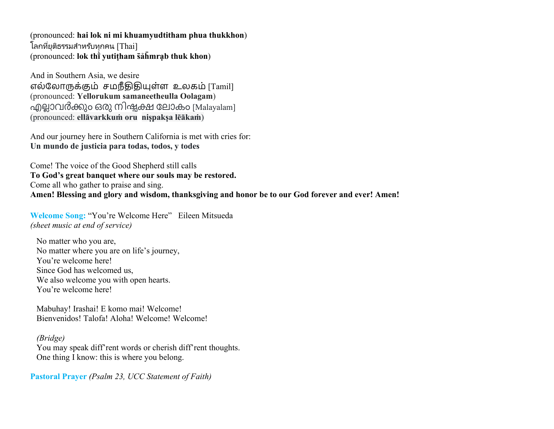(pronounced: **hai lok ni mi khuamyudtitham phua thukkhon**) ์ โลกที่ยติธรรมสำหรับทุกคน [Thai] (pronounced: **lok thī̀yutiṭham s̄ảh̄mrạb thuk khon**)

And in Southern Asia, we desire எல்ேலா�க்�ம் சமநீ���ள்ள உலகம் [Tamil] (pronounced: **Yellorukum samaneetheulla Oolagam**) എല്ലാവർക്കും ഒരു നിഷ്ടക്ഷ ലോകം [Malayalam] (pronounced: **ellāvarkkuṁ oru niṣpakṣa lēākaṁ**)

And our journey here in Southern California is met with cries for: **Un mundo de justicia para todas, todos, y todes**

Come! The voice of the Good Shepherd still calls **To God's great banquet where our souls may be restored.** Come all who gather to praise and sing. **Amen! Blessing and glory and wisdom, thanksgiving and honor be to our God forever and ever! Amen!**

**Welcome Song:** "You're Welcome Here" Eileen Mitsueda *(sheet music at end of service)*

No matter who you are, No matter where you are on life's journey, You're welcome here! Since God has welcomed us, We also welcome you with open hearts. You're welcome here!

Mabuhay! Irashai! E komo mai! Welcome! Bienvenidos! Talofa! Aloha! Welcome! Welcome!

#### *(Bridge)*

You may speak diff'rent words or cherish diff'rent thoughts. One thing I know: this is where you belong.

**Pastoral Prayer** *(Psalm 23, UCC Statement of Faith)*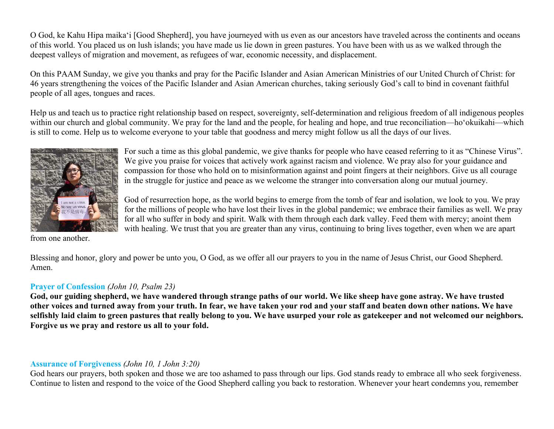O God, ke Kahu Hipa maikaʻi [Good Shepherd], you have journeyed with us even as our ancestors have traveled across the continents and oceans of this world. You placed us on lush islands; you have made us lie down in green pastures. You have been with us as we walked through the deepest valleys of migration and movement, as refugees of war, economic necessity, and displacement.

On this PAAM Sunday, we give you thanks and pray for the Pacific Islander and Asian American Ministries of our United Church of Christ: for 46 years strengthening the voices of the Pacific Islander and Asian American churches, taking seriously God's call to bind in covenant faithful people of all ages, tongues and races.

Help us and teach us to practice right relationship based on respect, sovereignty, self-determination and religious freedom of all indigenous peoples within our church and global community. We pray for the land and the people, for healing and hope, and true reconciliation—ho'okuikahi—which is still to come. Help us to welcome everyone to your table that goodness and mercy might follow us all the days of our lives.



For such a time as this global pandemic, we give thanks for people who have ceased referring to it as "Chinese Virus". We give you praise for voices that actively work against racism and violence. We pray also for your guidance and compassion for those who hold on to misinformation against and point fingers at their neighbors. Give us all courage in the struggle for justice and peace as we welcome the stranger into conversation along our mutual journey.

God of resurrection hope, as the world begins to emerge from the tomb of fear and isolation, we look to you. We pray for the millions of people who have lost their lives in the global pandemic; we embrace their families as well. We pray for all who suffer in body and spirit. Walk with them through each dark valley. Feed them with mercy; anoint them with healing. We trust that you are greater than any virus, continuing to bring lives together, even when we are apart

from one another.

Blessing and honor, glory and power be unto you, O God, as we offer all our prayers to you in the name of Jesus Christ, our Good Shepherd. Amen.

#### **Prayer of Confession** *(John 10, Psalm 23)*

**God, our guiding shepherd, we have wandered through strange paths of our world. We like sheep have gone astray. We have trusted other voices and turned away from your truth. In fear, we have taken your rod and your staff and beaten down other nations. We have selfishly laid claim to green pastures that really belong to you. We have usurped your role as gatekeeper and not welcomed our neighbors. Forgive us we pray and restore us all to your fold.** 

#### **Assurance of Forgiveness** *(John 10, 1 John 3:20)*

God hears our prayers, both spoken and those we are too ashamed to pass through our lips. God stands ready to embrace all who seek forgiveness. Continue to listen and respond to the voice of the Good Shepherd calling you back to restoration. Whenever your heart condemns you, remember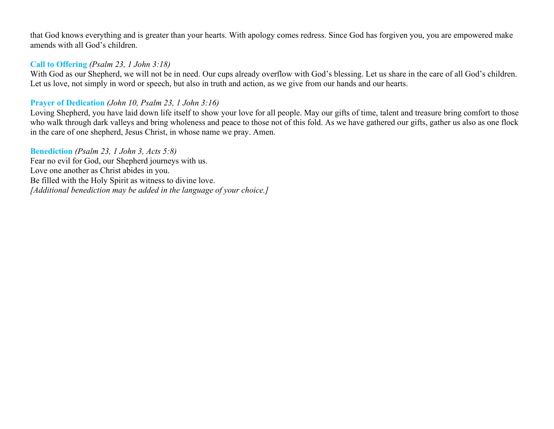that God knows everything and is greater than your hearts. With apology comes redress. Since God has forgiven you, you are empowered make amends with all God's children.

# **Call to Offering** *(Psalm 23, 1 John 3:18)*

With God as our Shepherd, we will not be in need. Our cups already overflow with God's blessing. Let us share in the care of all God's children. Let us love, not simply in word or speech, but also in truth and action, as we give from our hands and our hearts.

# **Prayer of Dedication** *(John 10, Psalm 23, 1 John 3:16)*

Loving Shepherd, you have laid down life itself to show your love for all people. May our gifts of time, talent and treasure bring comfort to those who walk through dark valleys and bring wholeness and peace to those not of this fold. As we have gathered our gifts, gather us also as one flock in the care of one shepherd, Jesus Christ, in whose name we pray. Amen.

**Benediction** *(Psalm 23, 1 John 3, Acts 5:8)* Fear no evil for God, our Shepherd journeys with us. Love one another as Christ abides in you. Be filled with the Holy Spirit as witness to divine love. *[Additional benediction may be added in the language of your choice.]*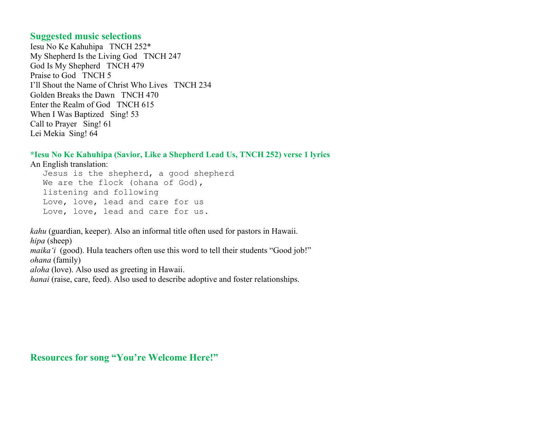#### **Suggested music selections**

Iesu No Ke Kahuhipa TNCH 252\* My Shepherd Is the Living God TNCH 247 God Is My Shepherd TNCH 479 Praise to God TNCH 5 I'll Shout the Name of Christ Who Lives TNCH 234 Golden Breaks the Dawn TNCH 470 Enter the Realm of God TNCH 615 When I Was Baptized Sing! 53 Call to Prayer Sing! 61 Lei Mekia Sing! 64

#### **\*Iesu No Ke Kahuhipa (Savior, Like a Shepherd Lead Us, TNCH 252) verse 1 lyrics**

An English translation:

Jesus is the shepherd, a good shepherd We are the flock (ohana of God), listening and following Love, love, lead and care for us Love, love, lead and care for us.

*kahu* (guardian, keeper). Also an informal title often used for pastors in Hawaii. *hipa* (sheep) *maika*<sup>'</sup>*i* (good). Hula teachers often use this word to tell their students "Good job!" *ohana* (family) *aloha* (love). Also used as greeting in Hawaii.

*hanai* (raise, care, feed). Also used to describe adoptive and foster relationships.

**Resources for song "You're Welcome Here!"**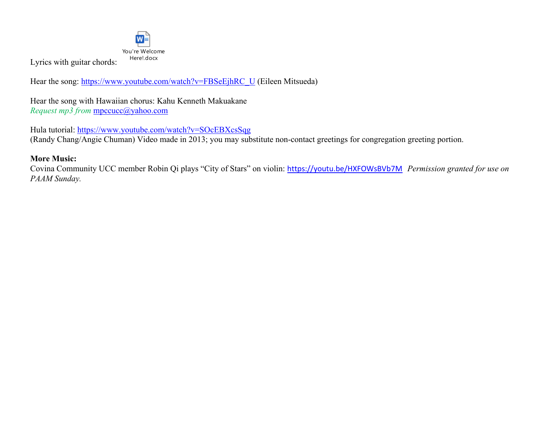

Lyrics with guitar chords:

Hear the song: [https://www.youtube.com/watch?v=FBSeEjhRC\\_U](https://www.youtube.com/watch?v=FBSeEjhRC_U) (Eileen Mitsueda)

Hear the song with Hawaiian chorus: Kahu Kenneth Makuakane *Request mp3 from* [mpccucc@yahoo.com](mailto:mpccucc@yahoo.com)

Hula tutorial:<https://www.youtube.com/watch?v=SOcEBXcsSqg> (Randy Chang/Angie Chuman) Video made in 2013; you may substitute non-contact greetings for congregation greeting portion.

## **More Music:**

Covina Community UCC member Robin Qi plays "City of Stars" on violin: <https://youtu.be/HXFOWsBVb7M> *Permission granted for use on PAAM Sunday.*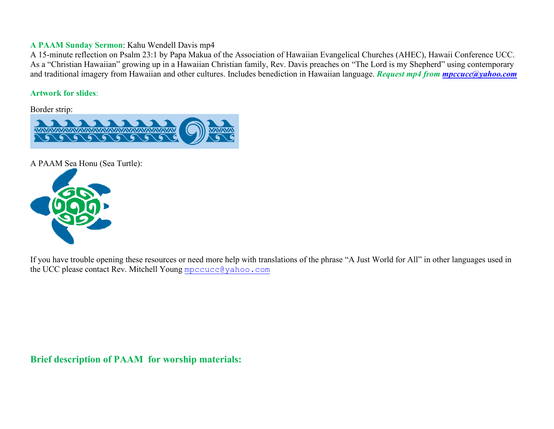#### **A PAAM Sunday Sermon**: Kahu Wendell Davis mp4

A 15-minute reflection on Psalm 23:1 by Papa Makua of the Association of Hawaiian Evangelical Churches (AHEC), Hawaii Conference UCC. As a "Christian Hawaiian" growing up in a Hawaiian Christian family, Rev. Davis preaches on "The Lord is my Shepherd" using contemporary and traditional imagery from Hawaiian and other cultures. Includes benediction in Hawaiian language. *Request mp4 from [mpccucc@yahoo.com](mailto:mpccucc@yahoo.com)*

#### **Artwork for slides**:

Border strip:



A PAAM Sea Honu (Sea Turtle):



If you have trouble opening these resources or need more help with translations of the phrase "A Just World for All" in other languages used in the UCC please contact Rev. Mitchell Young [mpccucc@yahoo.com](mailto:mpccucc@yahoo.com)

**Brief description of PAAM for worship materials:**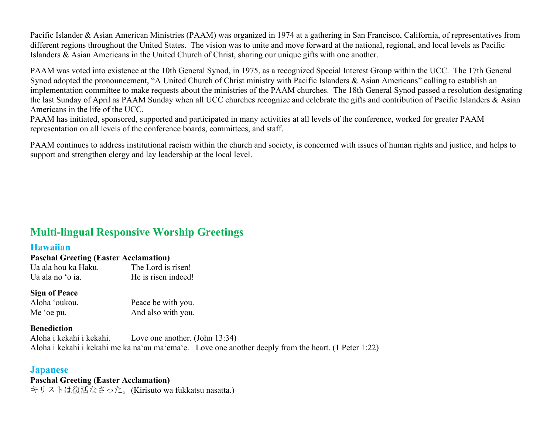Pacific Islander & Asian American Ministries (PAAM) was organized in 1974 at a gathering in San Francisco, California, of representatives from different regions throughout the United States. The vision was to unite and move forward at the national, regional, and local levels as Pacific Islanders & Asian Americans in the United Church of Christ, sharing our unique gifts with one another.

PAAM was voted into existence at the 10th General Synod, in 1975, as a recognized Special Interest Group within the UCC. The 17th General Synod adopted the pronouncement, "A United Church of Christ ministry with Pacific Islanders & Asian Americans" calling to establish an implementation committee to make requests about the ministries of the PAAM churches. The 18th General Synod passed a resolution designating the last Sunday of April as PAAM Sunday when all UCC churches recognize and celebrate the gifts and contribution of Pacific Islanders & Asian Americans in the life of the UCC.

PAAM has initiated, sponsored, supported and participated in many activities at all levels of the conference, worked for greater PAAM representation on all levels of the conference boards, committees, and staff.

PAAM continues to address institutional racism within the church and society, is concerned with issues of human rights and justice, and helps to support and strengthen clergy and lay leadership at the local level.

# **Multi-lingual Responsive Worship Greetings**

# **Hawaiian**

#### **Paschal Greeting (Easter Acclamation)**

Ua ala hou ka Haku. The Lord is risen! Ua ala no 'o ia. He is risen indeed!

#### **Sign of Peace**

Aloha 'oukou. Peace be with you. Me 'oe pu. And also with you.

#### **Benediction**

Aloha i kekahi i kekahi. Love one another. (John 13:34) Aloha i kekahi i kekahi me ka na'au ma'ema'e. Love one another deeply from the heart. (1 Peter 1:22)

#### **Japanese**

**Paschal Greeting (Easter Acclamation)** キリストは復活なさった。(Kirisuto wa fukkatsu nasatta.)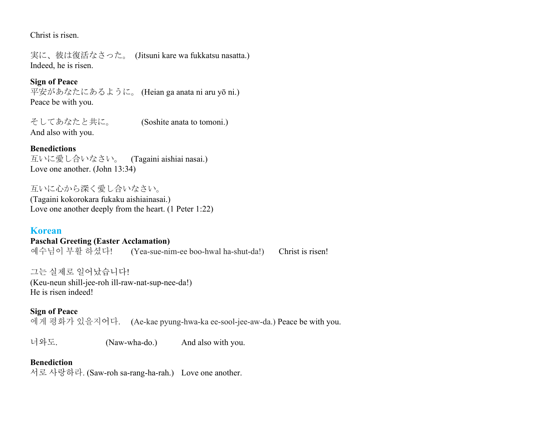Christ is risen.

実に、彼は復活なさった。 (Jitsuni kare wa fukkatsu nasatta.) Indeed, he is risen.

## **Sign of Peace**

平安があなたにあるように。 (Heian ga anata ni aru yō ni.) Peace be with you.

そしてあなたと共に。 (Soshite anata to tomoni.) And also with you.

#### **Benedictions**

互いに愛し合いなさい。 (Tagaini aishiai nasai.) Love one another. (John 13:34)

互いに心から深く愛し合いなさい。 (Tagaini kokorokara fukaku aishiainasai.) Love one another deeply from the heart. (1 Peter 1:22)

## **Korean Paschal Greeting (Easter Acclamation)**  $(Yea-sue-nime)$  boo-hwal ha-shut-da!) Christ is risen!

그는 실제로 일어났습니다! (Keu-neun shill-jee-roh ill-raw-nat-sup-nee-da!) He is risen indeed!

#### **Sign of Peace**

에게 평화가 있을지어다. (Ae-kae pyung-hwa-ka ee-sool-jee-aw-da.) Peace be with you.

너와도. (Naw-wha-do.) And also with you.

#### **Benediction**

서로 사랑하라. (Saw-roh sa-rang-ha-rah.) Love one another.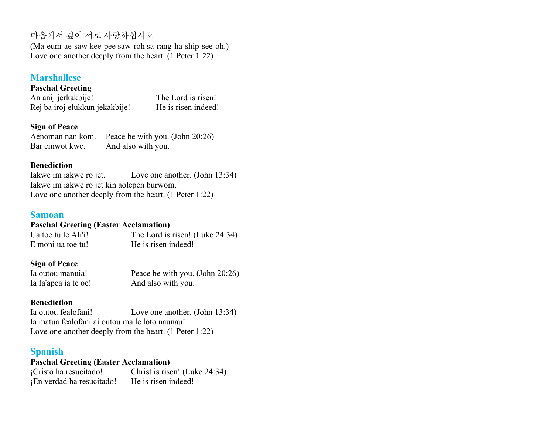# 마음에서 깊이 서로 사랑하십시오.

(Ma-eum-ae-saw kee-pee saw-roh sa-rang-ha-ship-see-oh.) Love one another deeply from the heart. (1 Peter 1:22)

# **Marshallese**

**Paschal Greeting**  An anij jerkakbije! The Lord is risen! Rej ba iroj elukkun jekakbije! He is risen indeed!

#### **Sign of Peace**

Aenoman nan kom. Peace be with you. (John 20:26) Bar einwot kwe. And also with you.

#### **Benediction**

Iakwe im iakwe ro jet. Love one another. (John 13:34) Iakwe im iakwe ro jet kin aolepen burwom. Love one another deeply from the heart. (1 Peter 1:22)

#### **Samoan**

#### **Paschal Greeting (Easter Acclamation)**

Ua toe tu le Ali'i! The Lord is risen! (Luke 24:34) E moni ua toe tu! He is risen indeed!

#### **Sign of Peace**

Ia outou manuia! Peace be with you. (John 20:26) Ia fa'apea ia te oe! And also with you.

## **Benediction**

Ia outou fealofani! Love one another. (John 13:34) Ia matua fealofani ai outou ma le loto naunau! Love one another deeply from the heart. (1 Peter 1:22)

## **Spanish**

**Paschal Greeting (Easter Acclamation)** ¡Cristo ha resucitado! Christ is risen! (Luke 24:34) ¡En verdad ha resucitado! He is risen indeed!